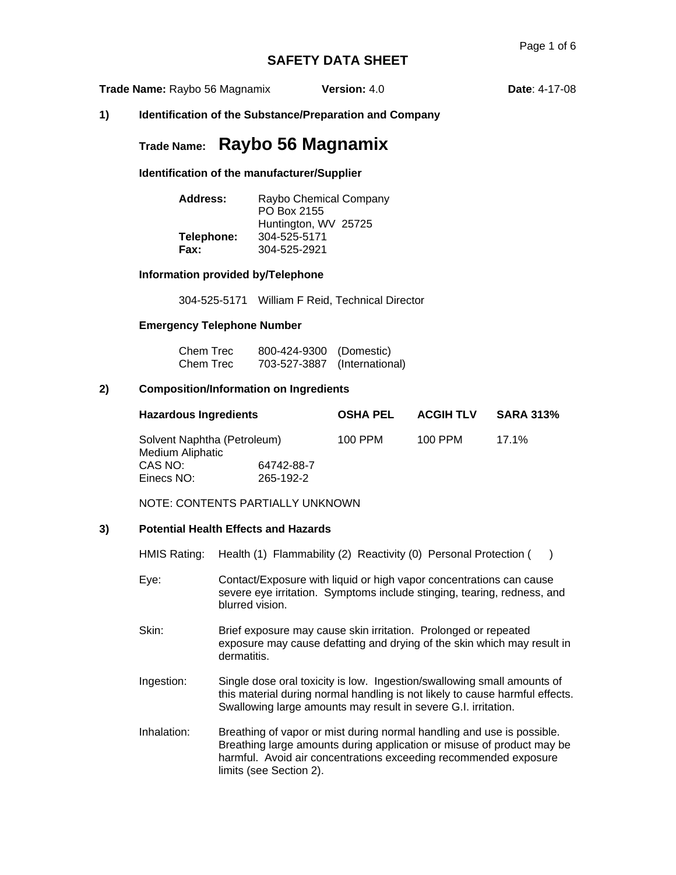**Trade Name:** Raybo 56 Magnamix **Version:** 4.0 **Date**: 4-17-08

**1) Identification of the Substance/Preparation and Company** 

# **Trade Name: Raybo 56 Magnamix**

**Identification of the manufacturer/Supplier** 

| Address:   | Raybo Chemical Company<br>PO Box 2155 |
|------------|---------------------------------------|
|            | Huntington, WV 25725                  |
| Telephone: | 304-525-5171                          |
| Fax:       | 304-525-2921                          |

### **Information provided by/Telephone**

304-525-5171 William F Reid, Technical Director

### **Emergency Telephone Number**

| Chem Trec | 800-424-9300 (Domestic)      |  |
|-----------|------------------------------|--|
| Chem Trec | 703-527-3887 (International) |  |

### **2) Composition/Information on Ingredients**

| <b>Hazardous Ingredients</b><br>Solvent Naphtha (Petroleum)<br>Medium Aliphatic<br>CAS NO:<br>64742-88-7 |           | <b>OSHA PEL</b><br>100 PPM | <b>ACGIH TLV</b> | <b>SARA 313%</b><br>$17.1\%$ |
|----------------------------------------------------------------------------------------------------------|-----------|----------------------------|------------------|------------------------------|
|                                                                                                          |           |                            | 100 PPM          |                              |
|                                                                                                          |           |                            |                  |                              |
| Einecs NO:                                                                                               | 265-192-2 |                            |                  |                              |

NOTE: CONTENTS PARTIALLY UNKNOWN

### **3) Potential Health Effects and Hazards**

HMIS Rating: Health (1) Flammability (2) Reactivity (0) Personal Protection ()

- Eye: Contact/Exposure with liquid or high vapor concentrations can cause severe eye irritation. Symptoms include stinging, tearing, redness, and blurred vision.
- Skin: Brief exposure may cause skin irritation. Prolonged or repeated exposure may cause defatting and drying of the skin which may result in dermatitis.
- Ingestion: Single dose oral toxicity is low. Ingestion/swallowing small amounts of this material during normal handling is not likely to cause harmful effects. Swallowing large amounts may result in severe G.I. irritation.
- Inhalation: Breathing of vapor or mist during normal handling and use is possible. Breathing large amounts during application or misuse of product may be harmful. Avoid air concentrations exceeding recommended exposure limits (see Section 2).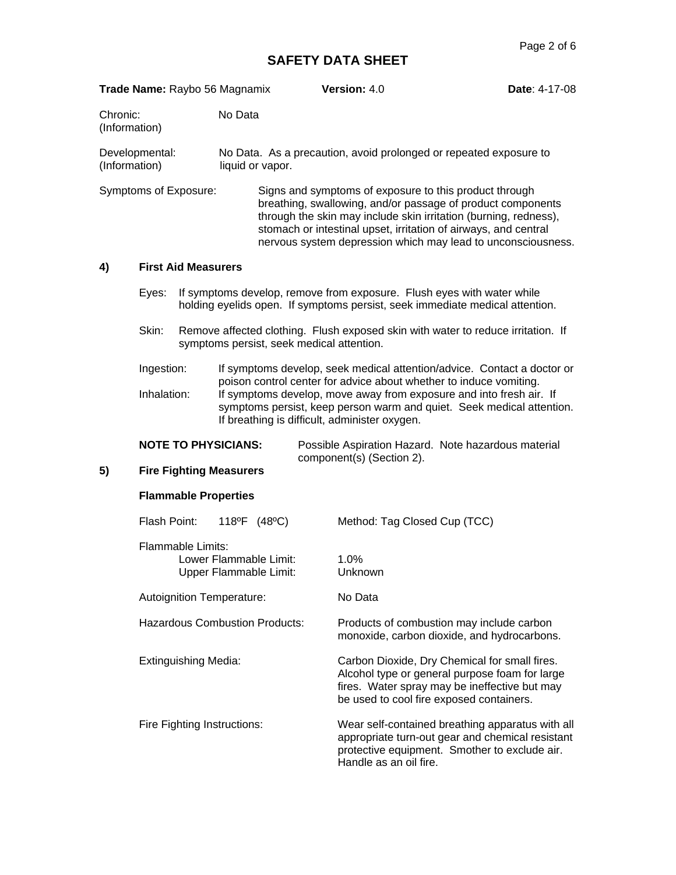|                                      | Trade Name: Raybo 56 Magnamix |                             |                             |                                                  | Version: 4.0                                                                                                                                                                                                                                                                                                                 | Date: 4-17-08 |
|--------------------------------------|-------------------------------|-----------------------------|-----------------------------|--------------------------------------------------|------------------------------------------------------------------------------------------------------------------------------------------------------------------------------------------------------------------------------------------------------------------------------------------------------------------------------|---------------|
| Chronic:<br>(Information)            |                               |                             | No Data                     |                                                  |                                                                                                                                                                                                                                                                                                                              |               |
| (Information)                        | Developmental:                |                             |                             | liquid or vapor.                                 | No Data. As a precaution, avoid prolonged or repeated exposure to                                                                                                                                                                                                                                                            |               |
|                                      | Symptoms of Exposure:         |                             |                             |                                                  | Signs and symptoms of exposure to this product through<br>breathing, swallowing, and/or passage of product components<br>through the skin may include skin irritation (burning, redness),<br>stomach or intestinal upset, irritation of airways, and central<br>nervous system depression which may lead to unconsciousness. |               |
| 4)                                   |                               | <b>First Aid Measurers</b>  |                             |                                                  |                                                                                                                                                                                                                                                                                                                              |               |
|                                      | Eyes:                         |                             |                             |                                                  | If symptoms develop, remove from exposure. Flush eyes with water while<br>holding eyelids open. If symptoms persist, seek immediate medical attention.                                                                                                                                                                       |               |
|                                      | Skin:                         |                             |                             | symptoms persist, seek medical attention.        | Remove affected clothing. Flush exposed skin with water to reduce irritation. If                                                                                                                                                                                                                                             |               |
|                                      | Ingestion:                    |                             |                             |                                                  | If symptoms develop, seek medical attention/advice. Contact a doctor or<br>poison control center for advice about whether to induce vomiting.                                                                                                                                                                                |               |
|                                      | Inhalation:                   |                             |                             |                                                  | If symptoms develop, move away from exposure and into fresh air. If<br>symptoms persist, keep person warm and quiet. Seek medical attention.<br>If breathing is difficult, administer oxygen.                                                                                                                                |               |
|                                      |                               |                             | <b>NOTE TO PHYSICIANS:</b>  |                                                  | Possible Aspiration Hazard. Note hazardous material<br>component(s) (Section 2).                                                                                                                                                                                                                                             |               |
| 5)<br><b>Fire Fighting Measurers</b> |                               |                             |                             |                                                  |                                                                                                                                                                                                                                                                                                                              |               |
|                                      |                               |                             | <b>Flammable Properties</b> |                                                  |                                                                                                                                                                                                                                                                                                                              |               |
|                                      | Flash Point:                  |                             |                             | 118°F (48°C)                                     | Method: Tag Closed Cup (TCC)                                                                                                                                                                                                                                                                                                 |               |
|                                      |                               | <b>Flammable Limits:</b>    |                             | Lower Flammable Limit:<br>Upper Flammable Limit: | 1.0%<br>Unknown                                                                                                                                                                                                                                                                                                              |               |
|                                      |                               |                             | Autoignition Temperature:   |                                                  | No Data                                                                                                                                                                                                                                                                                                                      |               |
|                                      |                               |                             |                             | <b>Hazardous Combustion Products:</b>            | Products of combustion may include carbon<br>monoxide, carbon dioxide, and hydrocarbons.                                                                                                                                                                                                                                     |               |
|                                      |                               | <b>Extinguishing Media:</b> |                             |                                                  | Carbon Dioxide, Dry Chemical for small fires.<br>Alcohol type or general purpose foam for large<br>fires. Water spray may be ineffective but may<br>be used to cool fire exposed containers.                                                                                                                                 |               |
|                                      |                               |                             | Fire Fighting Instructions: |                                                  | Wear self-contained breathing apparatus with all<br>appropriate turn-out gear and chemical resistant<br>protective equipment. Smother to exclude air.<br>Handle as an oil fire.                                                                                                                                              |               |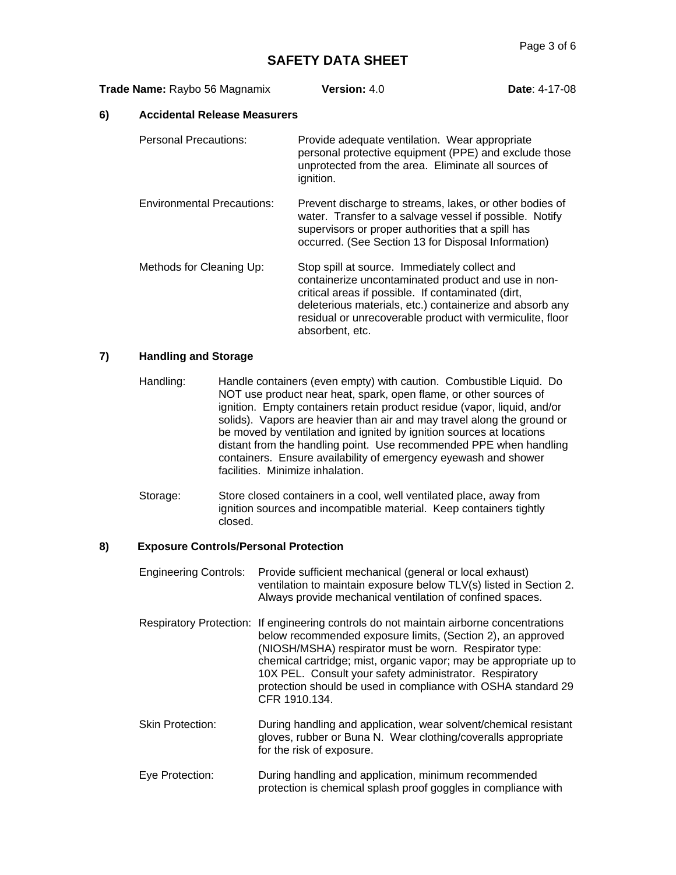| Trade Name: Raybo 56 Magnamix     |                                     | Version: $4.0$                                                                                                                                                                                                                                                                                         | <b>Date: 4-17-08</b> |
|-----------------------------------|-------------------------------------|--------------------------------------------------------------------------------------------------------------------------------------------------------------------------------------------------------------------------------------------------------------------------------------------------------|----------------------|
| 6)                                | <b>Accidental Release Measurers</b> |                                                                                                                                                                                                                                                                                                        |                      |
|                                   | Personal Precautions:               | Provide adequate ventilation. Wear appropriate<br>personal protective equipment (PPE) and exclude those<br>unprotected from the area. Eliminate all sources of<br>ignition.                                                                                                                            |                      |
| <b>Environmental Precautions:</b> |                                     | Prevent discharge to streams, lakes, or other bodies of<br>water. Transfer to a salvage vessel if possible. Notify<br>supervisors or proper authorities that a spill has<br>occurred. (See Section 13 for Disposal Information)                                                                        |                      |
|                                   | Methods for Cleaning Up:            | Stop spill at source. Immediately collect and<br>containerize uncontaminated product and use in non-<br>critical areas if possible. If contaminated (dirt,<br>deleterious materials, etc.) containerize and absorb any<br>residual or unrecoverable product with vermiculite, floor<br>absorbent, etc. |                      |

## **7) Handling and Storage**

- Handling: Handle containers (even empty) with caution. Combustible Liquid. Do NOT use product near heat, spark, open flame, or other sources of ignition. Empty containers retain product residue (vapor, liquid, and/or solids). Vapors are heavier than air and may travel along the ground or be moved by ventilation and ignited by ignition sources at locations distant from the handling point. Use recommended PPE when handling containers. Ensure availability of emergency eyewash and shower facilities. Minimize inhalation.
- Storage: Store closed containers in a cool, well ventilated place, away from ignition sources and incompatible material. Keep containers tightly closed.

### **8) Exposure Controls/Personal Protection**

- Engineering Controls: Provide sufficient mechanical (general or local exhaust) ventilation to maintain exposure below TLV(s) listed in Section 2. Always provide mechanical ventilation of confined spaces.
- Respiratory Protection: If engineering controls do not maintain airborne concentrations below recommended exposure limits, (Section 2), an approved (NIOSH/MSHA) respirator must be worn. Respirator type: chemical cartridge; mist, organic vapor; may be appropriate up to 10X PEL. Consult your safety administrator. Respiratory protection should be used in compliance with OSHA standard 29 CFR 1910.134.
- Skin Protection: During handling and application, wear solvent/chemical resistant gloves, rubber or Buna N. Wear clothing/coveralls appropriate for the risk of exposure.
- Eye Protection: During handling and application, minimum recommended protection is chemical splash proof goggles in compliance with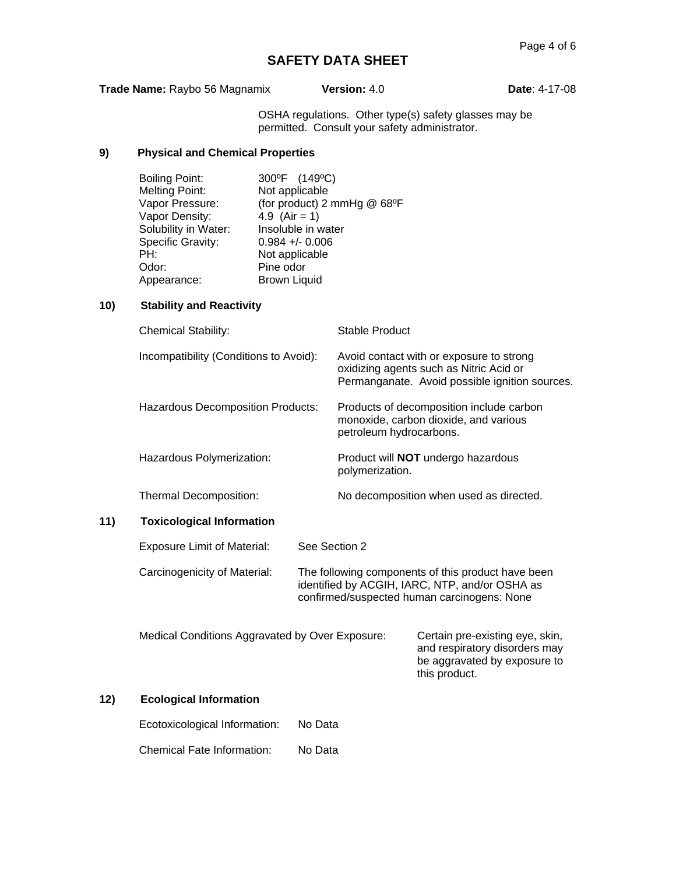**Trade Name:** Raybo 56 Magnamix **Version:** 4.0 **Date**: 4-17-08

OSHA regulations. Other type(s) safety glasses may be permitted. Consult your safety administrator.

## **9) Physical and Chemical Properties**

| <b>Boiling Point:</b> | 300°F (149°C)               |
|-----------------------|-----------------------------|
| <b>Melting Point:</b> | Not applicable              |
| Vapor Pressure:       | (for product) 2 mmHg @ 68°F |
| Vapor Density:        | 4.9 $(Air = 1)$             |
| Solubility in Water:  | Insoluble in water          |
| Specific Gravity:     | $0.984 + -0.006$            |
| PH:                   | Not applicable              |
| Odor:                 | Pine odor                   |
| Appearance:           | <b>Brown Liquid</b>         |

## **10) Stability and Reactivity**

| <b>Chemical Stability:</b>                      | <b>Stable Product</b>   |                                                                                                                                                     |
|-------------------------------------------------|-------------------------|-----------------------------------------------------------------------------------------------------------------------------------------------------|
| Incompatibility (Conditions to Avoid):          |                         | Avoid contact with or exposure to strong<br>oxidizing agents such as Nitric Acid or<br>Permanganate. Avoid possible ignition sources.               |
| <b>Hazardous Decomposition Products:</b>        | petroleum hydrocarbons. | Products of decomposition include carbon<br>monoxide, carbon dioxide, and various                                                                   |
| Hazardous Polymerization:                       | polymerization.         | Product will <b>NOT</b> undergo hazardous                                                                                                           |
| Thermal Decomposition:                          |                         | No decomposition when used as directed.                                                                                                             |
| <b>Toxicological Information</b>                |                         |                                                                                                                                                     |
| <b>Exposure Limit of Material:</b>              | See Section 2           |                                                                                                                                                     |
| Carcinogenicity of Material:                    |                         | The following components of this product have been<br>identified by ACGIH, IARC, NTP, and/or OSHA as<br>confirmed/suspected human carcinogens: None |
| Medical Conditions Aggravated by Over Exposure: |                         | Certain pre-existing eye, skin,<br>and respiratory disorders may<br>be aggravated by exposure to<br>this product.                                   |
| <b>Ecological Information</b>                   |                         |                                                                                                                                                     |
|                                                 |                         |                                                                                                                                                     |

## **12)**

**11)** 

| Ecotoxicological Information: | No Data |
|-------------------------------|---------|
|                               |         |

Chemical Fate Information: No Data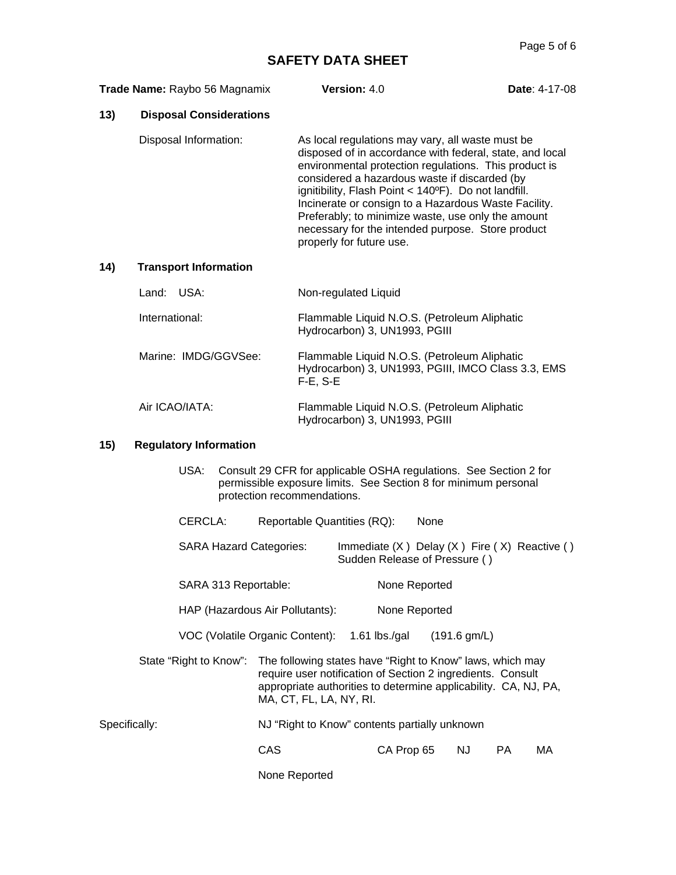**Date: 4-17-08** 

| Trade Name: Raybo 56 Magnamix | <b>Version: 4.0</b> |  |
|-------------------------------|---------------------|--|
|-------------------------------|---------------------|--|

## **13) Disposal Considerations**

Disposal Information: As local regulations may vary, all waste must be disposed of in accordance with federal, state, and local environmental protection regulations. This product is considered a hazardous waste if discarded (by ignitibility, Flash Point < 140ºF). Do not landfill. Incinerate or consign to a Hazardous Waste Facility. Preferably; to minimize waste, use only the amount necessary for the intended purpose. Store product properly for future use.

### **14) Transport Information**

| Land: USA:           | Non-regulated Liquid                                                                                                |
|----------------------|---------------------------------------------------------------------------------------------------------------------|
| International:       | Flammable Liquid N.O.S. (Petroleum Aliphatic<br>Hydrocarbon) 3, UN1993, PGIII                                       |
| Marine: IMDG/GGVSee: | Flammable Liquid N.O.S. (Petroleum Aliphatic<br>Hydrocarbon) 3, UN1993, PGIII, IMCO Class 3.3, EMS<br>$F-E$ , $S-E$ |
| Air ICAO/IATA:       | Flammable Liquid N.O.S. (Petroleum Aliphatic<br>Hydrocarbon) 3, UN1993, PGIII                                       |

### **15) Regulatory Information**

| USA: | Consult 29 CFR for applicable OSHA regulations. See Section 2 for |
|------|-------------------------------------------------------------------|
|      | permissible exposure limits. See Section 8 for minimum personal   |
|      | protection recommendations.                                       |

| CERCLA: | Reportable Quantities (RQ): | None |
|---------|-----------------------------|------|
|---------|-----------------------------|------|

SARA Hazard Categories: Immediate (X) Delay (X) Fire (X) Reactive () Sudden Release of Pressure ( )

| SARA 313 Reportable: | None Reported |
|----------------------|---------------|
|----------------------|---------------|

HAP (Hazardous Air Pollutants): None Reported

VOC (Volatile Organic Content): 1.61 lbs./gal (191.6 gm/L)

State "Right to Know": The following states have "Right to Know" laws, which may require user notification of Section 2 ingredients. Consult appropriate authorities to determine applicability. CA, NJ, PA, MA, CT, FL, LA, NY, RI.

Specifically: NJ "Right to Know" contents partially unknown

CAS CA Prop 65 NJ PA MA

None Reported